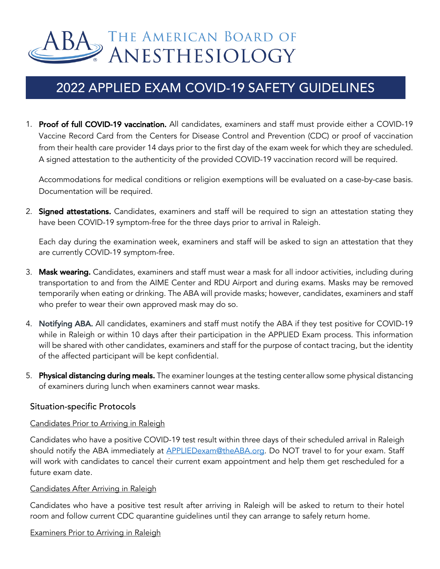# BA THE AMERICAN BOARD OF ANESTHESIOLOGY

## 2022 APPLIED EXAM COVID-19 SAFETY GUIDELINES

1. Proof of full COVID-19 vaccination. All candidates, examiners and staff must provide either a COVID-19 Vaccine Record Card from the Centers for Disease Control and Prevention (CDC) or proof of vaccination from their health care provider 14 days prior to the first day of the exam week for which they are scheduled. A signed attestation to the authenticity of the provided COVID-19 vaccination record will be required.

Accommodations for medical conditions or religion exemptions will be evaluated on a case-by-case basis. Documentation will be required.

2. **Signed attestations.** Candidates, examiners and staff will be required to sign an attestation stating they have been COVID-19 symptom-free for the three days prior to arrival in Raleigh.

Each day during the examination week, examiners and staff will be asked to sign an attestation that they are currently COVID-19 symptom-free.

- 3. Mask wearing. Candidates, examiners and staff must wear a mask for all indoor activities, including during transportation to and from the AIME Center and RDU Airport and during exams. Masks may be removed temporarily when eating or drinking. The ABA will provide masks; however, candidates, examiners and staff who prefer to wear their own approved mask may do so.
- 4. Notifying ABA. All candidates, examiners and staff must notify the ABA if they test positive for COVID-19 while in Raleigh or within 10 days after their participation in the APPLIED Exam process. This information will be shared with other candidates, examiners and staff for the purpose of contact tracing, but the identity of the affected participant will be kept confidential.
- 5. Physical distancing during meals. The examiner lounges at the testing centerallow some physical distancing of examiners during lunch when examiners cannot wear masks.

#### Situation-specific Protocols

#### Candidates Prior to Arriving in Raleigh

Candidates who have a positive COVID-19 test result within three days of their scheduled arrival in Raleigh should notify the ABA immediately at **APPLIEDexam@theABA.org**. Do NOT travel to for your exam. Staff will work with candidates to cancel their current exam appointment and help them get rescheduled for a future exam date.

#### Candidates After Arriving in Raleigh

Candidates who have a positive test result after arriving in Raleigh will be asked to return to their hotel room and follow current CDC quarantine guidelines until they can arrange to safely return home.

#### Examiners Prior to Arriving in Raleigh